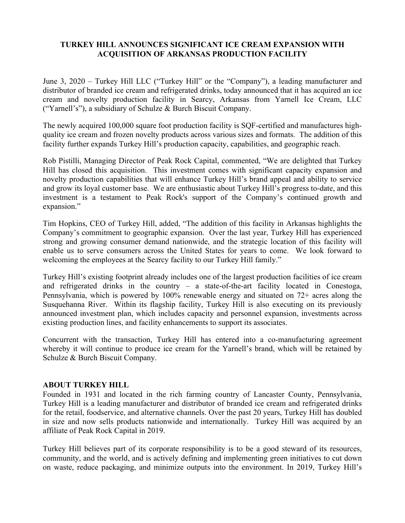## **TURKEY HILL ANNOUNCES SIGNIFICANT ICE CREAM EXPANSION WITH ACQUISITION OF ARKANSAS PRODUCTION FACILITY**

June 3, 2020 – Turkey Hill LLC ("Turkey Hill" or the "Company"), a leading manufacturer and distributor of branded ice cream and refrigerated drinks, today announced that it has acquired an ice cream and novelty production facility in Searcy, Arkansas from Yarnell Ice Cream, LLC ("Yarnell's"), a subsidiary of Schulze & Burch Biscuit Company.

The newly acquired 100,000 square foot production facility is SQF-certified and manufactures highquality ice cream and frozen novelty products across various sizes and formats. The addition of this facility further expands Turkey Hill's production capacity, capabilities, and geographic reach.

Rob Pistilli, Managing Director of Peak Rock Capital, commented, "We are delighted that Turkey Hill has closed this acquisition. This investment comes with significant capacity expansion and novelty production capabilities that will enhance Turkey Hill's brand appeal and ability to service and grow its loyal customer base. We are enthusiastic about Turkey Hill's progress to-date, and this investment is a testament to Peak Rock's support of the Company's continued growth and expansion."

Tim Hopkins, CEO of Turkey Hill, added, "The addition of this facility in Arkansas highlights the Company's commitment to geographic expansion. Over the last year, Turkey Hill has experienced strong and growing consumer demand nationwide, and the strategic location of this facility will enable us to serve consumers across the United States for years to come. We look forward to welcoming the employees at the Searcy facility to our Turkey Hill family."

Turkey Hill's existing footprint already includes one of the largest production facilities of ice cream and refrigerated drinks in the country – a state-of-the-art facility located in Conestoga, Pennsylvania, which is powered by 100% renewable energy and situated on 72+ acres along the Susquehanna River. Within its flagship facility, Turkey Hill is also executing on its previously announced investment plan, which includes capacity and personnel expansion, investments across existing production lines, and facility enhancements to support its associates.

Concurrent with the transaction, Turkey Hill has entered into a co-manufacturing agreement whereby it will continue to produce ice cream for the Yarnell's brand, which will be retained by Schulze & Burch Biscuit Company.

## **ABOUT TURKEY HILL**

Founded in 1931 and located in the rich farming country of Lancaster County, Pennsylvania, Turkey Hill is a leading manufacturer and distributor of branded ice cream and refrigerated drinks for the retail, foodservice, and alternative channels. Over the past 20 years, Turkey Hill has doubled in size and now sells products nationwide and internationally. Turkey Hill was acquired by an affiliate of Peak Rock Capital in 2019.

Turkey Hill believes part of its corporate responsibility is to be a good steward of its resources, community, and the world, and is actively defining and implementing green initiatives to cut down on waste, reduce packaging, and minimize outputs into the environment. In 2019, Turkey Hill's